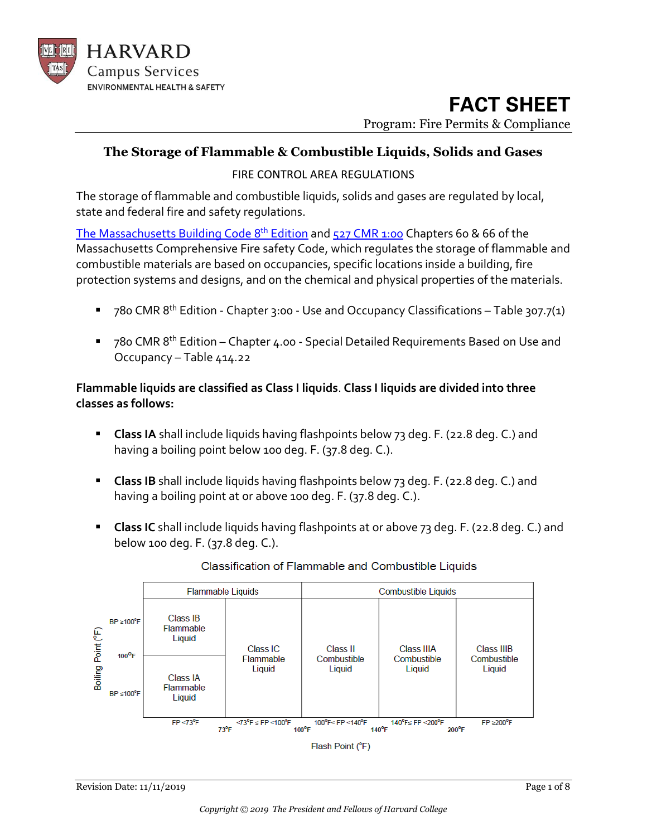

#### **The Storage of Flammable & Combustible Liquids, Solids and Gases**

FIRE CONTROL AREA REGULATIONS

The storage of flammable and combustible liquids, solids and gases are regulated by local, state and federal fire and safety regulations.

[The Massachusetts Building Code](http://www.mass.gov/ocabr/government/oca-agencies/dpl-lp/opsi/consumer-prot-and-bus-lic/license-type/csl/8th-edition-base-code.html) 8<sup>th</sup> Edition and [527 CMR 1:00](https://www.mass.gov/regulations/527-CMR-100-massachusetts-comprehensive-fire-safety-code) Chapters 60 & 66 of the Massachusetts Comprehensive Fire safety Code, which regulates the storage of flammable and combustible materials are based on occupancies, specific locations inside a building, fire protection systems and designs, and on the chemical and physical properties of the materials.

- 780 CMR 8<sup>th</sup> Edition Chapter 3:00 Use and Occupancy Classifications Table 307.7(1)
- 780 CMR 8<sup>th</sup> Edition Chapter 4.00 Special Detailed Requirements Based on Use and Occupancy – Table 414.22

#### **Flammable liquids are classified as Class I liquids**. **Class I liquids are divided into three classes as follows:**

- **E** Class IA shall include liquids having flashpoints below 73 deg. F. (22.8 deg. C.) and having a boiling point below 100 deg. F. (37.8 deg. C.).
- **E** Class IB shall include liquids having flashpoints below 73 deg. F. (22.8 deg. C.) and having a boiling point at or above 100 deg. F. (37.8 deg. C.).
- **Class IC** shall include liquids having flashpoints at or above 73 deg. F. (22.8 deg. C.) and below 100 deg. F. (37.8 deg. C.).



#### Classification of Flammable and Combustible Liquids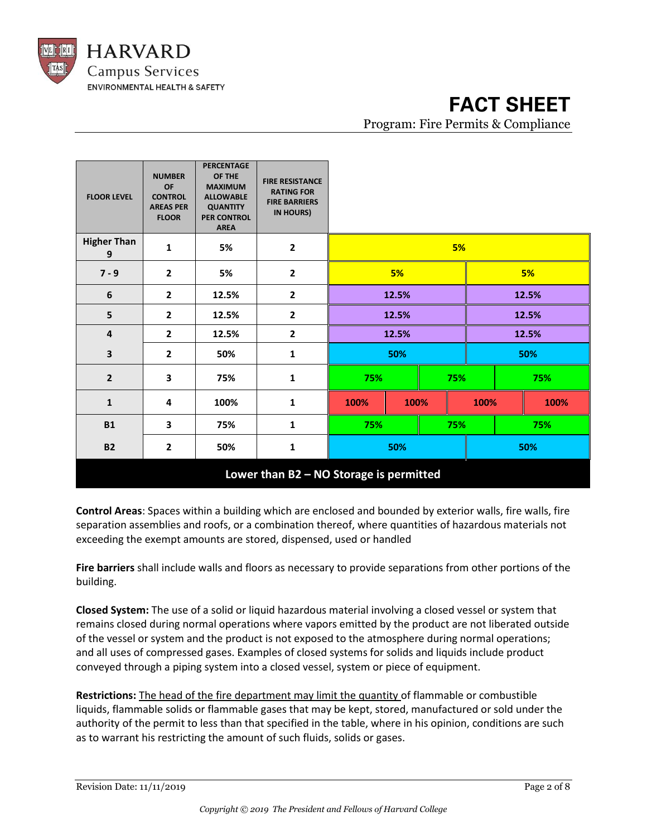

| <b>FLOOR LEVEL</b>                      | <b>NUMBER</b><br><b>OF</b><br><b>CONTROL</b><br><b>AREAS PER</b><br><b>FLOOR</b> | <b>PERCENTAGE</b><br>OF THE<br><b>MAXIMUM</b><br><b>ALLOWABLE</b><br><b>QUANTITY</b><br><b>PER CONTROL</b><br><b>AREA</b> | <b>FIRE RESISTANCE</b><br><b>RATING FOR</b><br><b>FIRE BARRIERS</b><br>IN HOURS) |            |      |       |      |  |      |
|-----------------------------------------|----------------------------------------------------------------------------------|---------------------------------------------------------------------------------------------------------------------------|----------------------------------------------------------------------------------|------------|------|-------|------|--|------|
| <b>Higher Than</b><br>9                 | $\mathbf{1}$                                                                     | 5%                                                                                                                        | $\mathbf{2}$                                                                     | 5%         |      |       |      |  |      |
| $7 - 9$                                 | $\overline{2}$                                                                   | 5%                                                                                                                        | $\mathbf{2}$                                                                     | 5%         |      | 5%    |      |  |      |
| 6                                       | $\mathbf{2}$                                                                     | 12.5%                                                                                                                     | $\mathbf{2}$                                                                     | 12.5%      |      | 12.5% |      |  |      |
| 5                                       | $\mathbf{2}$                                                                     | 12.5%                                                                                                                     | $\overline{\mathbf{2}}$                                                          | 12.5%      |      | 12.5% |      |  |      |
| 4                                       | $\mathbf{2}$                                                                     | 12.5%                                                                                                                     | $\mathbf{2}$                                                                     | 12.5%      |      | 12.5% |      |  |      |
| 3                                       | $\mathbf{2}$                                                                     | 50%                                                                                                                       | $\mathbf{1}$                                                                     | 50%        |      | 50%   |      |  |      |
| $\overline{2}$                          | 3                                                                                | 75%                                                                                                                       | $\mathbf{1}$                                                                     | 75%<br>75% |      | 75%   |      |  |      |
| $\mathbf{1}$                            | 4                                                                                | 100%                                                                                                                      | 1                                                                                | 100%       | 100% |       | 100% |  | 100% |
| <b>B1</b>                               | 3                                                                                | 75%                                                                                                                       | 1                                                                                | 75%        |      | 75%   |      |  | 75%  |
| <b>B2</b>                               | $\mathbf{2}$                                                                     | 50%                                                                                                                       | 1                                                                                | 50%        |      | 50%   |      |  |      |
| Lower than B2 - NO Storage is permitted |                                                                                  |                                                                                                                           |                                                                                  |            |      |       |      |  |      |

**Control Areas**: Spaces within a building which are enclosed and bounded by exterior walls, fire walls, fire separation assemblies and roofs, or a combination thereof, where quantities of hazardous materials not exceeding the exempt amounts are stored, dispensed, used or handled

**Fire barriers** shall include walls and floors as necessary to provide separations from other portions of the building.

**Closed System:** The use of a solid or liquid hazardous material involving a closed vessel or system that remains closed during normal operations where vapors emitted by the product are not liberated outside of the vessel or system and the product is not exposed to the atmosphere during normal operations; and all uses of compressed gases. Examples of closed systems for solids and liquids include product conveyed through a piping system into a closed vessel, system or piece of equipment.

**Restrictions:** The head of the fire department may limit the quantity of flammable or combustible liquids, flammable solids or flammable gases that may be kept, stored, manufactured or sold under the authority of the permit to less than that specified in the table, where in his opinion, conditions are such as to warrant his restricting the amount of such fluids, solids or gases.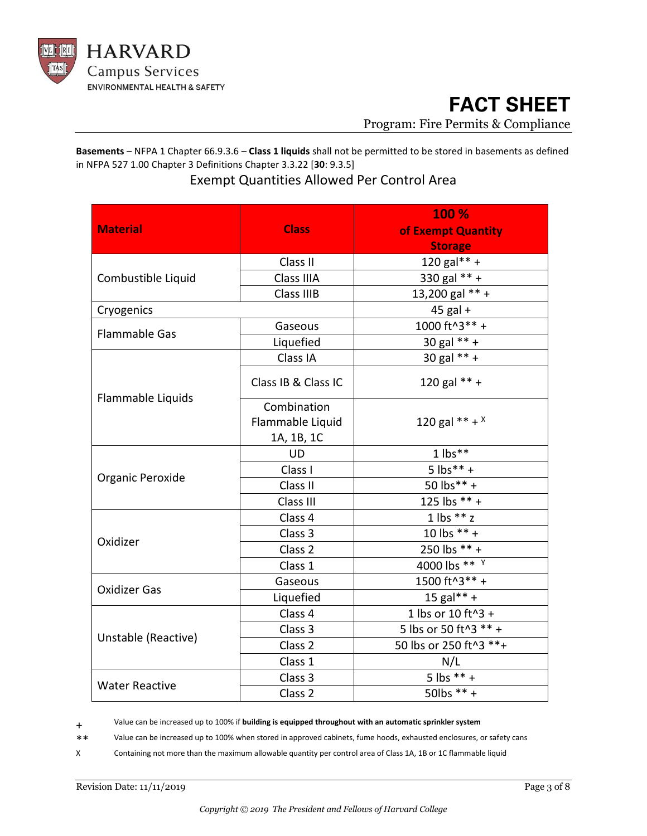

**Basements** – NFPA 1 Chapter 66.9.3.6 – **Class 1 liquids** shall not be permitted to be stored in basements as defined in NFPA 527 1.00 Chapter 3 Definitions Chapter 3.3.22 [**30**: 9.3.5]

### Exempt Quantities Allowed Per Control Area

|                       |                     | 100 %                  |  |  |  |
|-----------------------|---------------------|------------------------|--|--|--|
| <b>Material</b>       | <b>Class</b>        | of Exempt Quantity     |  |  |  |
|                       |                     | <b>Storage</b>         |  |  |  |
|                       | Class II            | $120$ gal** +          |  |  |  |
| Combustible Liquid    | Class IIIA          | 330 gal ** +           |  |  |  |
|                       | Class IIIB          | 13,200 gal ** +        |  |  |  |
| Cryogenics            |                     | $45$ gal +             |  |  |  |
|                       | Gaseous             | 1000 ft^3** +          |  |  |  |
| <b>Flammable Gas</b>  | Liquefied           | $30$ gal ** +          |  |  |  |
|                       | Class IA            | 30 gal ** +            |  |  |  |
|                       | Class IB & Class IC | 120 gal ** +           |  |  |  |
| Flammable Liquids     | Combination         |                        |  |  |  |
|                       | Flammable Liquid    | 120 gal ** + $x$       |  |  |  |
|                       | 1A, 1B, 1C          |                        |  |  |  |
|                       | <b>UD</b>           | $1$ lbs**              |  |  |  |
|                       | Class I             | $5$ lbs** +            |  |  |  |
| Organic Peroxide      | Class II            | 50 lbs** +             |  |  |  |
|                       | Class III           | 125 lbs ** +           |  |  |  |
|                       | Class 4             | $1$ lbs $**$ z         |  |  |  |
| Oxidizer              | Class 3             | 10 lbs $** +$          |  |  |  |
|                       | Class <sub>2</sub>  | 250 lbs ** +           |  |  |  |
|                       | Class 1             | 4000 lbs ** Y          |  |  |  |
| <b>Oxidizer Gas</b>   | Gaseous             | 1500 ft^3** +          |  |  |  |
|                       | Liquefied           | 15 gal** +             |  |  |  |
|                       | Class 4             | 1 lbs or 10 ft^3 +     |  |  |  |
| Unstable (Reactive)   | Class 3             | 5 lbs or 50 ft^3 ** +  |  |  |  |
|                       | Class 2             | 50 lbs or 250 ft^3 **+ |  |  |  |
|                       | Class 1             | N/L                    |  |  |  |
| <b>Water Reactive</b> | Class 3             | 5 lbs $** +$           |  |  |  |
|                       | Class <sub>2</sub>  | 50lbs ** +             |  |  |  |

+ Value can be increased up to 100% if **building is equipped throughout with an automatic sprinkler system**

\*\* Value can be increased up to 100% when stored in approved cabinets, fume hoods, exhausted enclosures, or safety cans

X Containing not more than the maximum allowable quantity per control area of Class 1A, 1B or 1C flammable liquid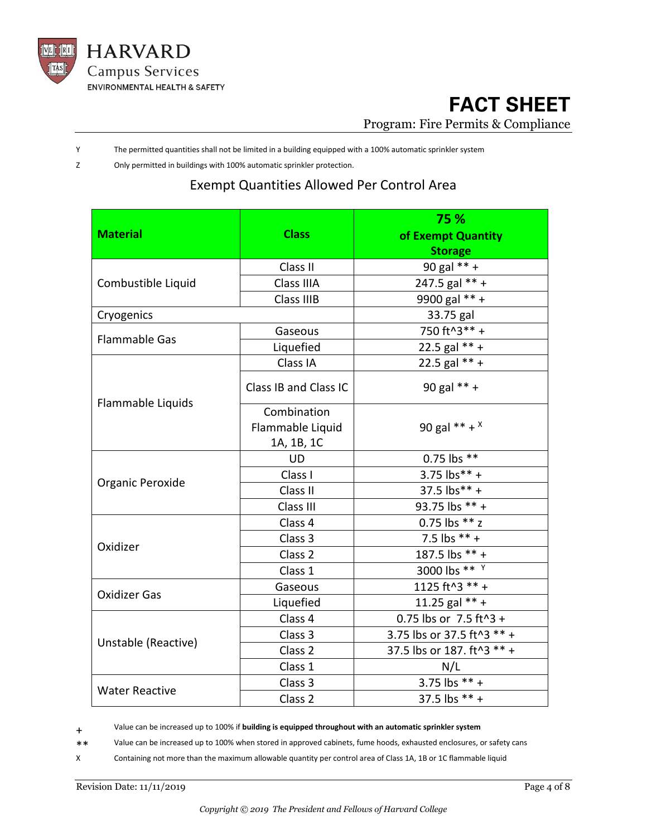

Y The permitted quantities shall not be limited in a building equipped with a 100% automatic sprinkler system

Z Only permitted in buildings with 100% automatic sprinkler protection.

#### Exempt Quantities Allowed Per Control Area

|                       |                       | 75 %                       |  |  |  |
|-----------------------|-----------------------|----------------------------|--|--|--|
| <b>Material</b>       | <b>Class</b>          | of Exempt Quantity         |  |  |  |
|                       |                       | <b>Storage</b>             |  |  |  |
|                       | Class II              | 90 gal ** +                |  |  |  |
| Combustible Liquid    | Class IIIA            | 247.5 gal $*** +$          |  |  |  |
|                       | Class IIIB            | 9900 gal ** +              |  |  |  |
| Cryogenics            |                       | 33.75 gal                  |  |  |  |
| <b>Flammable Gas</b>  | Gaseous               | 750 ft^3** +               |  |  |  |
|                       | Liquefied             | 22.5 gal $** +$            |  |  |  |
|                       | Class IA              | 22.5 gal ** +              |  |  |  |
|                       | Class IB and Class IC | 90 gal ** +                |  |  |  |
| Flammable Liquids     | Combination           | 90 gal ** + $x$            |  |  |  |
|                       | Flammable Liquid      |                            |  |  |  |
|                       | 1A, 1B, 1C            |                            |  |  |  |
|                       | <b>UD</b>             | 0.75 lbs **                |  |  |  |
| Organic Peroxide      | Class I               | $3.75$ lbs** +             |  |  |  |
|                       | Class II              | 37.5 lbs** +               |  |  |  |
|                       | Class III             | 93.75 lbs ** +             |  |  |  |
|                       | Class 4               | 0.75 lbs ** z              |  |  |  |
| Oxidizer              | Class 3               | 7.5 lbs $** +$             |  |  |  |
|                       | Class <sub>2</sub>    | 187.5 lbs ** +             |  |  |  |
|                       | Class 1               | 3000 lbs ** Y              |  |  |  |
| <b>Oxidizer Gas</b>   | Gaseous               | 1125 ft^3 ** +             |  |  |  |
|                       | Liquefied             | 11.25 gal $** +$           |  |  |  |
|                       | Class 4               | 0.75 lbs or 7.5 ft^3 +     |  |  |  |
| Unstable (Reactive)   | Class 3               | 3.75 lbs or 37.5 ft^3 ** + |  |  |  |
|                       | Class <sub>2</sub>    | 37.5 lbs or 187. ft^3 ** + |  |  |  |
|                       | Class 1               | N/L                        |  |  |  |
| <b>Water Reactive</b> | Class 3               | 3.75 lbs ** +              |  |  |  |
|                       | Class <sub>2</sub>    | 37.5 lbs ** +              |  |  |  |

+ Value can be increased up to 100% if **building is equipped throughout with an automatic sprinkler system**

\*\* Value can be increased up to 100% when stored in approved cabinets, fume hoods, exhausted enclosures, or safety cans Containing not more than the maximum allowable quantity per control area of Class 1A, 1B or 1C flammable liquid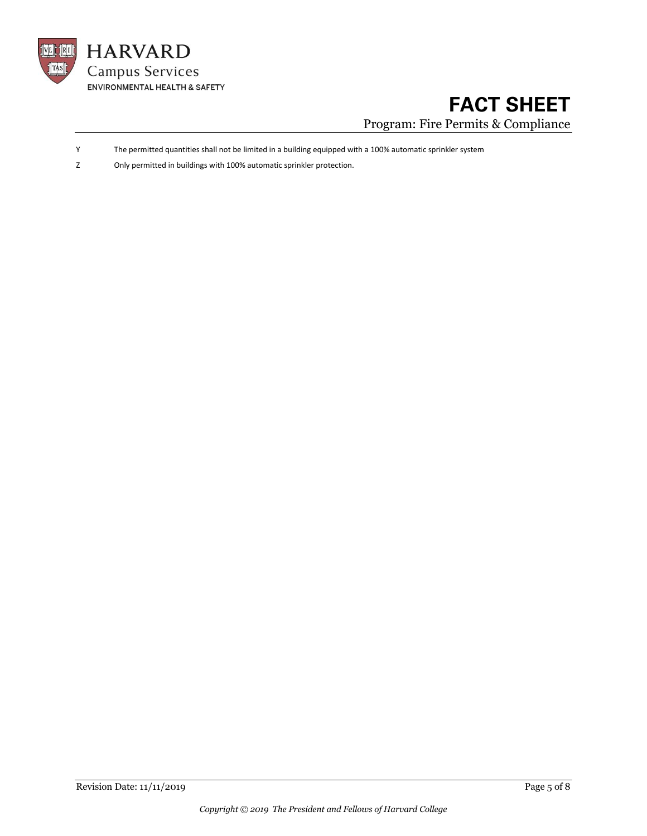

- Y The permitted quantities shall not be limited in a building equipped with a 100% automatic sprinkler system
- Z Only permitted in buildings with 100% automatic sprinkler protection.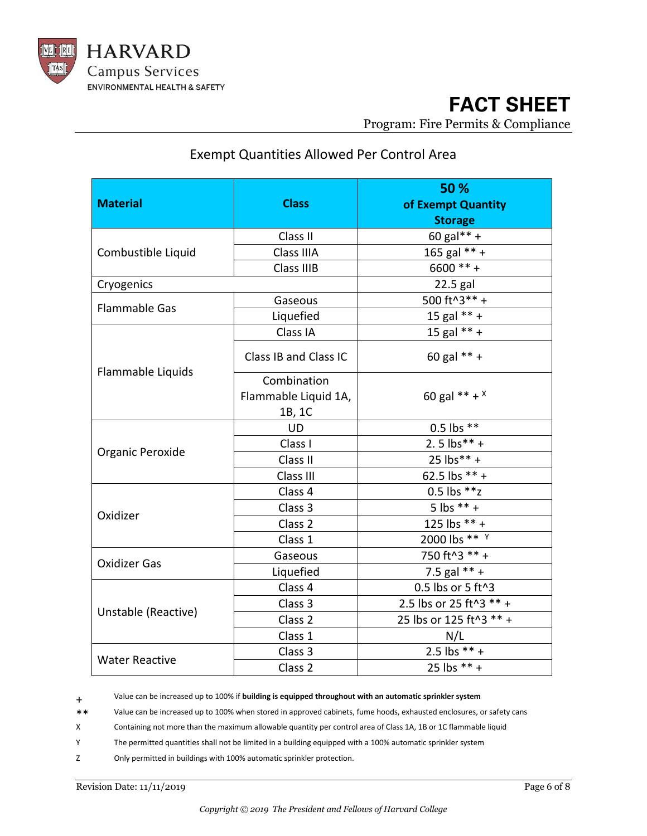

### Exempt Quantities Allowed Per Control Area

| <b>Material</b>       | <b>Class</b>          | 50 %<br>of Exempt Quantity<br><b>Storage</b> |  |  |  |
|-----------------------|-----------------------|----------------------------------------------|--|--|--|
|                       | Class II              | 60 gal** +                                   |  |  |  |
| Combustible Liquid    | Class IIIA            | 165 gal ** +                                 |  |  |  |
|                       | Class IIIB            | $6600** +$                                   |  |  |  |
| Cryogenics            |                       | 22.5 gal                                     |  |  |  |
| <b>Flammable Gas</b>  | Gaseous               | 500 ft^3** +                                 |  |  |  |
|                       | Liquefied             | 15 gal ** +                                  |  |  |  |
|                       | Class IA              | 15 gal $** +$                                |  |  |  |
| Flammable Liquids     | Class IB and Class IC | 60 gal ** +                                  |  |  |  |
|                       | Combination           |                                              |  |  |  |
|                       | Flammable Liquid 1A,  | 60 gal ** + $x$                              |  |  |  |
|                       | 1B, 1C                |                                              |  |  |  |
|                       | <b>UD</b>             | $0.5$ lbs $**$                               |  |  |  |
| Organic Peroxide      | Class I               | $2.5$ lbs** +                                |  |  |  |
|                       | Class II              | 25 lbs** +                                   |  |  |  |
|                       | Class III             | 62.5 lbs ** +                                |  |  |  |
|                       | Class 4               | 0.5 lbs ** z                                 |  |  |  |
| Oxidizer              | Class 3               | 5 lbs $** +$                                 |  |  |  |
|                       | Class <sub>2</sub>    | 125 lbs ** +                                 |  |  |  |
|                       | Class 1               | 2000 lbs ** Y                                |  |  |  |
| <b>Oxidizer Gas</b>   | Gaseous               | 750 ft^3 ** +                                |  |  |  |
|                       | Liquefied             | 7.5 gal $** +$                               |  |  |  |
|                       | Class 4               | 0.5 lbs or 5 ft^3                            |  |  |  |
| Unstable (Reactive)   | Class 3               | 2.5 lbs or 25 ft^3 ** +                      |  |  |  |
|                       | Class <sub>2</sub>    | 25 lbs or 125 ft^3 ** +                      |  |  |  |
|                       | Class 1               | N/L                                          |  |  |  |
| <b>Water Reactive</b> | Class 3               | 2.5 lbs ** +                                 |  |  |  |
|                       | Class <sub>2</sub>    | 25 lbs $** +$                                |  |  |  |

+ Value can be increased up to 100% if **building is equipped throughout with an automatic sprinkler system**

\*\* Value can be increased up to 100% when stored in approved cabinets, fume hoods, exhausted enclosures, or safety cans

X Containing not more than the maximum allowable quantity per control area of Class 1A, 1B or 1C flammable liquid

Y The permitted quantities shall not be limited in a building equipped with a 100% automatic sprinkler system

Z Only permitted in buildings with 100% automatic sprinkler protection.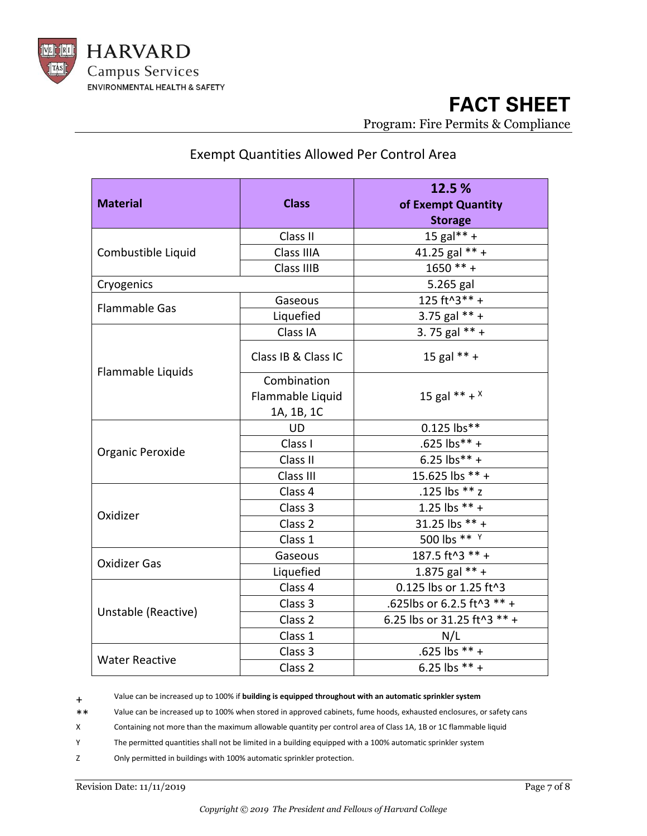

#### Exempt Quantities Allowed Per Control Area

| <b>Material</b>       | <b>Class</b>        | 12.5%<br>of Exempt Quantity<br><b>Storage</b> |  |  |  |
|-----------------------|---------------------|-----------------------------------------------|--|--|--|
|                       | Class II            | 15 gal** +                                    |  |  |  |
| Combustible Liquid    | Class IIIA          | 41.25 gal $** +$                              |  |  |  |
|                       | Class IIIB          | $1650** +$                                    |  |  |  |
| Cryogenics            |                     | 5.265 gal                                     |  |  |  |
| <b>Flammable Gas</b>  | Gaseous             | 125 ft^3 ** +                                 |  |  |  |
|                       | Liquefied           | 3.75 gal $** +$                               |  |  |  |
|                       | Class IA            | 3.75 gal $** +$                               |  |  |  |
|                       | Class IB & Class IC | 15 gal $** +$                                 |  |  |  |
| Flammable Liquids     | Combination         |                                               |  |  |  |
|                       | Flammable Liquid    | 15 gal ** + $x$                               |  |  |  |
|                       | 1A, 1B, 1C          |                                               |  |  |  |
|                       | <b>UD</b>           | 0.125 lbs**                                   |  |  |  |
| Organic Peroxide      | Class I             | .625 lbs** +                                  |  |  |  |
|                       | Class II            | 6.25 $\text{lbs}^{**}$ +                      |  |  |  |
|                       | Class III           | 15.625 lbs ** +                               |  |  |  |
|                       | Class 4             | .125 lbs ** z                                 |  |  |  |
| Oxidizer              | Class 3             | 1.25 lbs $** +$                               |  |  |  |
|                       | Class <sub>2</sub>  | 31.25 lbs ** +                                |  |  |  |
|                       | Class 1             | 500 lbs ** $\frac{1}{1}$                      |  |  |  |
| <b>Oxidizer Gas</b>   | Gaseous             | 187.5 ft^3 ** +                               |  |  |  |
|                       | Liquefied           | 1.875 gal $** +$                              |  |  |  |
|                       | Class 4             | 0.125 lbs or 1.25 ft^3                        |  |  |  |
| Unstable (Reactive)   | Class 3             | .625lbs or 6.2.5 ft^3 ** +                    |  |  |  |
|                       | Class <sub>2</sub>  | 6.25 lbs or 31.25 ft^3 ** +                   |  |  |  |
|                       | Class 1             | N/L                                           |  |  |  |
| <b>Water Reactive</b> | Class 3             | .625 lbs $** +$                               |  |  |  |
|                       | Class 2             | 6.25 lbs $** +$                               |  |  |  |

+ Value can be increased up to 100% if **building is equipped throughout with an automatic sprinkler system**

\*\* Value can be increased up to 100% when stored in approved cabinets, fume hoods, exhausted enclosures, or safety cans

X Containing not more than the maximum allowable quantity per control area of Class 1A, 1B or 1C flammable liquid

Y The permitted quantities shall not be limited in a building equipped with a 100% automatic sprinkler system

Z Only permitted in buildings with 100% automatic sprinkler protection.

Revision Date: 11/11/2019 Page 7 of 8